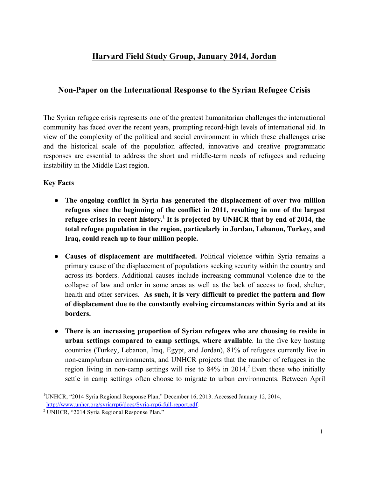# **Harvard Field Study Group, January 2014, Jordan**

# **Non-Paper on the International Response to the Syrian Refugee Crisis**

The Syrian refugee crisis represents one of the greatest humanitarian challenges the international community has faced over the recent years, prompting record-high levels of international aid. In view of the complexity of the political and social environment in which these challenges arise and the historical scale of the population affected, innovative and creative programmatic responses are essential to address the short and middle-term needs of refugees and reducing instability in the Middle East region.

## **Key Facts**

- **The ongoing conflict in Syria has generated the displacement of over two million refugees since the beginning of the conflict in 2011, resulting in one of the largest refugee crises in recent history.1 It is projected by UNHCR that by end of 2014, the total refugee population in the region, particularly in Jordan, Lebanon, Turkey, and Iraq, could reach up to four million people.**
- **Causes of displacement are multifaceted.** Political violence within Syria remains a primary cause of the displacement of populations seeking security within the country and across its borders. Additional causes include increasing communal violence due to the collapse of law and order in some areas as well as the lack of access to food, shelter, health and other services. **As such, it is very difficult to predict the pattern and flow of displacement due to the constantly evolving circumstances within Syria and at its borders.**
- **There is an increasing proportion of Syrian refugees who are choosing to reside in urban settings compared to camp settings, where available**. In the five key hosting countries (Turkey, Lebanon, Iraq, Egypt, and Jordan), 81% of refugees currently live in non-camp/urban environments, and UNHCR projects that the number of refugees in the region living in non-camp settings will rise to  $84\%$  in  $2014$ <sup>2</sup>. Even those who initially settle in camp settings often choose to migrate to urban environments. Between April

<sup>|&</sup>lt;br>|<br>| UNHCR, "2014 Syria Regional Response Plan," December 16, 2013. Accessed January 12, 2014, http://www.unhcr.org/syriarrp6/docs/Syria-rrp6-full-report.pdf.<br><sup>2</sup> UNHCR, "2014 Syria Regional Response Plan."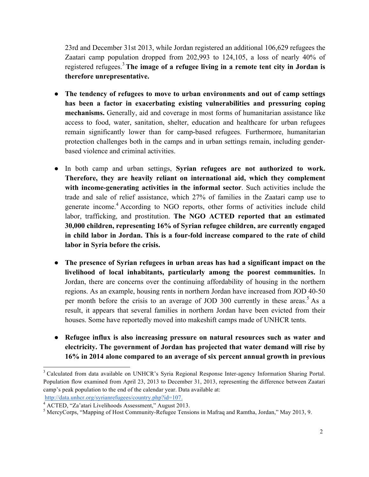23rd and December 31st 2013, while Jordan registered an additional 106,629 refugees the Zaatari camp population dropped from 202,993 to 124,105, a loss of nearly 40% of registered refugees.<sup>3</sup>**The image of a refugee living in a remote tent city in Jordan is therefore unrepresentative.**

- **The tendency of refugees to move to urban environments and out of camp settings has been a factor in exacerbating existing vulnerabilities and pressuring coping mechanisms.** Generally, aid and coverage in most forms of humanitarian assistance like access to food, water, sanitation, shelter, education and healthcare for urban refugees remain significantly lower than for camp-based refugees. Furthermore, humanitarian protection challenges both in the camps and in urban settings remain, including genderbased violence and criminal activities.
- In both camp and urban settings, **Syrian refugees are not authorized to work. Therefore, they are heavily reliant on international aid, which they complement with income-generating activities in the informal sector**. Such activities include the trade and sale of relief assistance, which 27% of families in the Zaatari camp use to generate income. <sup>4</sup> According to NGO reports, other forms of activities include child labor, trafficking, and prostitution. **The NGO ACTED reported that an estimated 30,000 children, representing 16% of Syrian refugee children, are currently engaged in child labor in Jordan. This is a four-fold increase compared to the rate of child labor in Syria before the crisis.**
- **The presence of Syrian refugees in urban areas has had a significant impact on the livelihood of local inhabitants, particularly among the poorest communities.** In Jordan, there are concerns over the continuing affordability of housing in the northern regions. As an example, housing rents in northern Jordan have increased from JOD 40-50 per month before the crisis to an average of JOD 300 currently in these areas.<sup>5</sup> As a result, it appears that several families in northern Jordan have been evicted from their houses. Some have reportedly moved into makeshift camps made of UNHCR tents.
- **Refugee influx is also increasing pressure on natural resources such as water and electricity. The government of Jordan has projected that water demand will rise by 16% in 2014 alone compared to an average of six percent annual growth in previous**

<sup>&</sup>lt;sup>3</sup> Calculated from data available on UNHCR's Syria Regional Response Inter-agency Information Sharing Portal. Population flow examined from April 23, 2013 to December 31, 2013, representing the difference between Zaatari camp's peak population to the end of the calendar year. Data available at:

http://data.unhcr.org/syrianrefugees/country.php?id=107.<br><sup>4</sup> ACTED, "Za'atari Livelihoods Assessment," August 2013.

 $<sup>5</sup>$  MercyCorps, "Mapping of Host Community-Refugee Tensions in Mafraq and Ramtha, Jordan," May 2013, 9.</sup>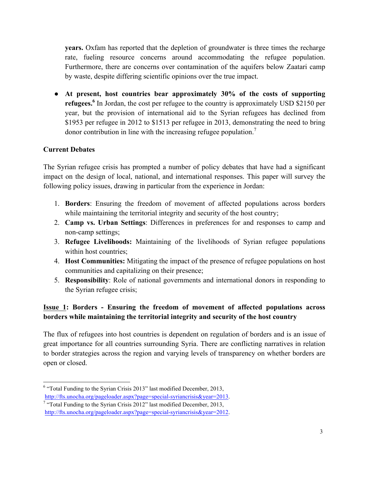**years.** Oxfam has reported that the depletion of groundwater is three times the recharge rate, fueling resource concerns around accommodating the refugee population. Furthermore, there are concerns over contamination of the aquifers below Zaatari camp by waste, despite differing scientific opinions over the true impact.

● **At present, host countries bear approximately 30% of the costs of supporting refugees.**<sup>6</sup> In Jordan, the cost per refugee to the country is approximately USD \$2150 per year, but the provision of international aid to the Syrian refugees has declined from \$1953 per refugee in 2012 to \$1513 per refugee in 2013, demonstrating the need to bring donor contribution in line with the increasing refugee population.<sup>7</sup>

#### **Current Debates**

The Syrian refugee crisis has prompted a number of policy debates that have had a significant impact on the design of local, national, and international responses. This paper will survey the following policy issues, drawing in particular from the experience in Jordan:

- 1. **Borders**: Ensuring the freedom of movement of affected populations across borders while maintaining the territorial integrity and security of the host country;
- 2. **Camp vs. Urban Settings**: Differences in preferences for and responses to camp and non-camp settings;
- 3. **Refugee Livelihoods:** Maintaining of the livelihoods of Syrian refugee populations within host countries;
- 4. **Host Communities:** Mitigating the impact of the presence of refugee populations on host communities and capitalizing on their presence;
- 5. **Responsibility**: Role of national governments and international donors in responding to the Syrian refugee crisis;

# **Issue 1: Borders - Ensuring the freedom of movement of affected populations across borders while maintaining the territorial integrity and security of the host country**

The flux of refugees into host countries is dependent on regulation of borders and is an issue of great importance for all countries surrounding Syria. There are conflicting narratives in relation to border strategies across the region and varying levels of transparency on whether borders are open or closed.

 $6$  "Total Funding to the Syrian Crisis 2013" last modified December, 2013,

http://fts.unocha.org/pageloader.aspx?page=special-syriancrisis&year=2013.

<sup>&</sup>lt;sup>7</sup> "Total Funding to the Syrian Crisis 2012" last modified December, 2013, http://fts.unocha.org/pageloader.aspx?page=special-syriancrisis&year=2012.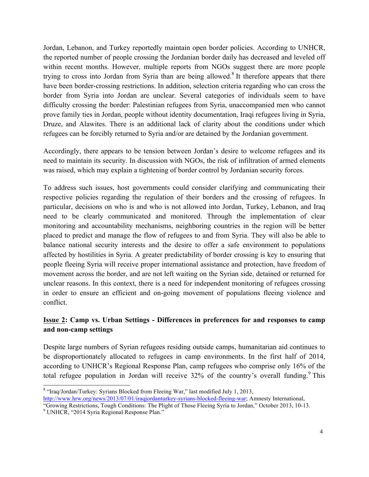Jordan, Lebanon, and Turkey reportedly maintain open border policies. According to UNHCR, the reported number of people crossing the Jordanian border daily has decreased and leveled off within recent months. However, multiple reports from NGOs suggest there are more people trying to cross into Jordan from Syria than are being allowed.<sup>8</sup> It therefore appears that there have been border-crossing restrictions. In addition, selection criteria regarding who can cross the border from Syria into Jordan are unclear. Several categories of individuals seem to have difficulty crossing the border: Palestinian refugees from Syria, unaccompanied men who cannot prove family ties in Jordan, people without identity documentation, Iraqi refugees living in Syria, Druze, and Alawites. There is an additional lack of clarity about the conditions under which refugees can be forcibly returned to Syria and/or are detained by the Jordanian government.

Accordingly, there appears to be tension between Jordan's desire to welcome refugees and its need to maintain its security. In discussion with NGOs, the risk of infiltration of armed elements was raised, which may explain a tightening of border control by Jordanian security forces.

To address such issues, host governments could consider clarifying and communicating their respective policies regarding the regulation of their borders and the crossing of refugees. In particular, decisions on who is and who is not allowed into Jordan, Turkey, Lebanon, and Iraq need to be clearly communicated and monitored. Through the implementation of clear monitoring and accountability mechanisms, neighboring countries in the region will be better placed to predict and manage the flow of refugees to and from Syria. They will also be able to balance national security interests and the desire to offer a safe environment to populations affected by hostilities in Syria. A greater predictability of border crossing is key to ensuring that people fleeing Syria will receive proper international assistance and protection, have freedom of movement across the border, and are not left waiting on the Syrian side, detained or returned for unclear reasons. In this context, there is a need for independent monitoring of refugees crossing in order to ensure an efficient and on-going movement of populations fleeing violence and conflict.

# **Issue 2: Camp vs. Urban Settings - Differences in preferences for and responses to camp and non-camp settings**

Despite large numbers of Syrian refugees residing outside camps, humanitarian aid continues to be disproportionately allocated to refugees in camp environments. In the first half of 2014, according to UNHCR's Regional Response Plan, camp refugees who comprise only 16% of the total refugee population in Jordan will receive  $32\%$  of the country's overall funding.<sup>9</sup> This

 <sup>8</sup> "Iraq/Jordan/Turkey: Syrians Blocked from Fleeing War," last modified July 1, 2013, http://www.hrw.org/news/2013/07/01/iraqjordanturkey-syrians-blocked-fleeing-war; Amnesty International,

<sup>&</sup>quot;Growing Restrictions, Tough Conditions: The Plight of Those Fleeing Syria to Jordan," October 2013, 10-13.<br><sup>9</sup> UNHCR, "2014 Syria Regional Response Plan."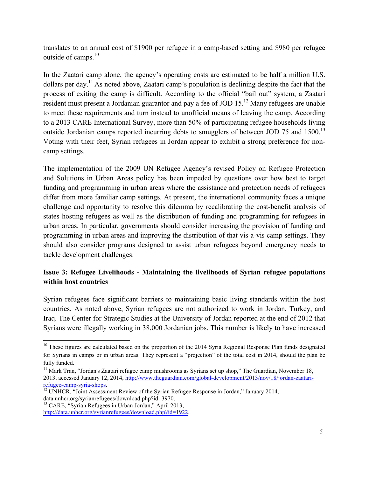translates to an annual cost of \$1900 per refugee in a camp-based setting and \$980 per refugee outside of camps.<sup>10</sup>

In the Zaatari camp alone, the agency's operating costs are estimated to be half a million U.S. dollars per day.11 As noted above, Zaatari camp's population is declining despite the fact that the process of exiting the camp is difficult. According to the official "bail out" system, a Zaatari resident must present a Jordanian guarantor and pay a fee of JOD  $15$ .<sup>12</sup> Many refugees are unable to meet these requirements and turn instead to unofficial means of leaving the camp. According to a 2013 CARE International Survey, more than 50% of participating refugee households living outside Jordanian camps reported incurring debts to smugglers of between JOD 75 and 1500.<sup>13</sup> Voting with their feet, Syrian refugees in Jordan appear to exhibit a strong preference for noncamp settings.

The implementation of the 2009 UN Refugee Agency's revised Policy on Refugee Protection and Solutions in Urban Areas policy has been impeded by questions over how best to target funding and programming in urban areas where the assistance and protection needs of refugees differ from more familiar camp settings. At present, the international community faces a unique challenge and opportunity to resolve this dilemma by recalibrating the cost-benefit analysis of states hosting refugees as well as the distribution of funding and programming for refugees in urban areas. In particular, governments should consider increasing the provision of funding and programming in urban areas and improving the distribution of that vis-a-vis camp settings. They should also consider programs designed to assist urban refugees beyond emergency needs to tackle development challenges.

## **Issue 3: Refugee Livelihoods - Maintaining the livelihoods of Syrian refugee populations within host countries**

Syrian refugees face significant barriers to maintaining basic living standards within the host countries. As noted above, Syrian refugees are not authorized to work in Jordan, Turkey, and Iraq. The Center for Strategic Studies at the University of Jordan reported at the end of 2012 that Syrians were illegally working in 38,000 Jordanian jobs. This number is likely to have increased

<sup>&</sup>lt;sup>10</sup> These figures are calculated based on the proportion of the 2014 Syria Regional Response Plan funds designated for Syrians in camps or in urban areas. They represent a "projection" of the total cost in 2014, should the plan be fully funded.

 $11$  Mark Tran, "Jordan's Zaatari refugee camp mushrooms as Syrians set up shop," The Guardian, November 18, 2013, accessed January 12, 2014, http://www.theguardian.com/global-development/2013/nov/18/jordan-zaatarirefugee-camp-syria-shops.<br><sup>12</sup> UNHCR, "Joint Assessment Review of the Syrian Refugee Response in Jordan," January 2014,

data.unhcr.org/syrianrefugees/download.php?id=3970.<br><sup>13</sup> CARE, "Syrian Refugees in Urban Jordan," April 2013,

http://data.unhcr.org/syrianrefugees/download.php?id=1922.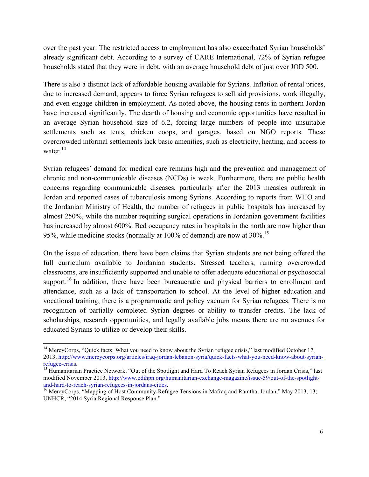over the past year. The restricted access to employment has also exacerbated Syrian households' already significant debt. According to a survey of CARE International, 72% of Syrian refugee households stated that they were in debt, with an average household debt of just over JOD 500.

There is also a distinct lack of affordable housing available for Syrians. Inflation of rental prices, due to increased demand, appears to force Syrian refugees to sell aid provisions, work illegally, and even engage children in employment. As noted above, the housing rents in northern Jordan have increased significantly. The dearth of housing and economic opportunities have resulted in an average Syrian household size of 6.2, forcing large numbers of people into unsuitable settlements such as tents, chicken coops, and garages, based on NGO reports. These overcrowded informal settlements lack basic amenities, such as electricity, heating, and access to water.<sup>14</sup>

Syrian refugees' demand for medical care remains high and the prevention and management of chronic and non-communicable diseases (NCDs) is weak. Furthermore, there are public health concerns regarding communicable diseases, particularly after the 2013 measles outbreak in Jordan and reported cases of tuberculosis among Syrians. According to reports from WHO and the Jordanian Ministry of Health, the number of refugees in public hospitals has increased by almost 250%, while the number requiring surgical operations in Jordanian government facilities has increased by almost 600%. Bed occupancy rates in hospitals in the north are now higher than 95%, while medicine stocks (normally at 100% of demand) are now at  $30\%$ .<sup>15</sup>

On the issue of education, there have been claims that Syrian students are not being offered the full curriculum available to Jordanian students. Stressed teachers, running overcrowded classrooms, are insufficiently supported and unable to offer adequate educational or psychosocial support.<sup>16</sup> In addition, there have been bureaucratic and physical barriers to enrollment and attendance, such as a lack of transportation to school. At the level of higher education and vocational training, there is a programmatic and policy vacuum for Syrian refugees. There is no recognition of partially completed Syrian degrees or ability to transfer credits. The lack of scholarships, research opportunities, and legally available jobs means there are no avenues for educated Syrians to utilize or develop their skills.

<sup>&</sup>lt;sup>14</sup> MercyCorps, "Ouick facts: What you need to know about the Syrian refugee crisis," last modified October 17, 2013, http://www.mercycorps.org/articles/iraq-jordan-lebanon-syria/quick-facts-what-you-need-know-about-syrianrefugee-crisis. 15 Humanitarian Practice Network, "Out of the Spotlight and Hard To Reach Syrian Refugees in Jordan Crisis," last

modified November 2013, http://www.odihpn.org/humanitarian-exchange-magazine/issue-59/out-of-the-spotlightand-hard-to-reach-syrian-refugees-in-jordans-cities.<br><sup>16</sup> MercyCorps, "Mapping of Host Community-Refugee Tensions in Mafraq and Ramtha, Jordan," May 2013, 13;

UNHCR, "2014 Syria Regional Response Plan."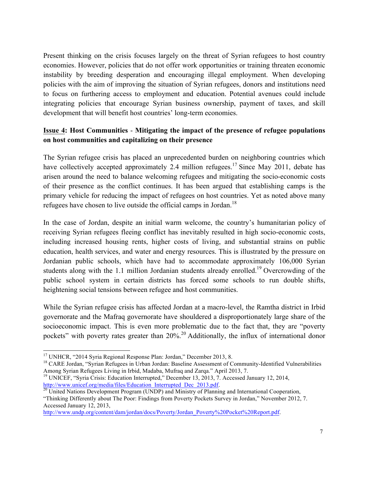Present thinking on the crisis focuses largely on the threat of Syrian refugees to host country economies. However, policies that do not offer work opportunities or training threaten economic instability by breeding desperation and encouraging illegal employment. When developing policies with the aim of improving the situation of Syrian refugees, donors and institutions need to focus on furthering access to employment and education. Potential avenues could include integrating policies that encourage Syrian business ownership, payment of taxes, and skill development that will benefit host countries' long-term economies.

## **Issue 4: Host Communities** - **Mitigating the impact of the presence of refugee populations on host communities and capitalizing on their presence**

The Syrian refugee crisis has placed an unprecedented burden on neighboring countries which have collectively accepted approximately 2.4 million refugees.<sup>17</sup> Since May 2011, debate has arisen around the need to balance welcoming refugees and mitigating the socio-economic costs of their presence as the conflict continues. It has been argued that establishing camps is the primary vehicle for reducing the impact of refugees on host countries. Yet as noted above many refugees have chosen to live outside the official camps in Jordan.<sup>18</sup>

In the case of Jordan, despite an initial warm welcome, the country's humanitarian policy of receiving Syrian refugees fleeing conflict has inevitably resulted in high socio-economic costs, including increased housing rents, higher costs of living, and substantial strains on public education, health services, and water and energy resources. This is illustrated by the pressure on Jordanian public schools, which have had to accommodate approximately 106,000 Syrian students along with the 1.1 million Jordanian students already enrolled.<sup>19</sup> Overcrowding of the public school system in certain districts has forced some schools to run double shifts, heightening social tensions between refugee and host communities.

While the Syrian refugee crisis has affected Jordan at a macro-level, the Ramtha district in Irbid governorate and the Mafraq governorate have shouldered a disproportionately large share of the socioeconomic impact. This is even more problematic due to the fact that, they are "poverty pockets" with poverty rates greater than  $20\%$ <sup>20</sup> Additionally, the influx of international donor

<sup>&</sup>lt;sup>17</sup> UNHCR, "2014 Syria Regional Response Plan: Jordan," December 2013, 8.<br><sup>18</sup> CARE Jordan, "Syrian Refugees in Urban Jordan: Baseline Assessment of Community-Identified Vulnerabilities Among Syrian Refugees Living in Irbid, Madaba, Mufraq and Zarqa." April 2013, 7.

<sup>&</sup>lt;sup>19</sup> UNICEF, "Syria Crisis: Education Interrupted," December 13, 2013, 7. Accessed January 12, 2014, http://www.unicef.org/media/files/Education\_Interrupted\_Dec\_2013.pdf. <sup>20</sup> United Nations Development Program (UNDP) and Ministry of Planning and International Cooperation,

<sup>&</sup>quot;Thinking Differently about The Poor: Findings from Poverty Pockets Survey in Jordan," November 2012, 7. Accessed January 12, 2013,

http://www.undp.org/content/dam/jordan/docs/Poverty/Jordan\_Poverty%20Pocket%20Report.pdf.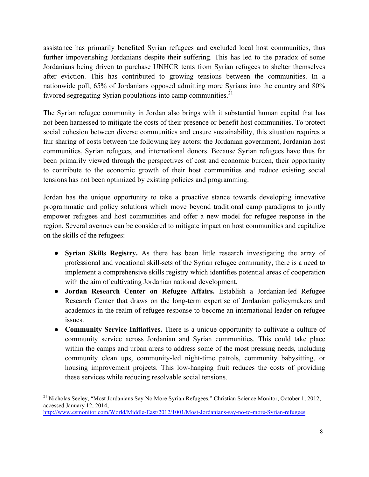assistance has primarily benefited Syrian refugees and excluded local host communities, thus further impoverishing Jordanians despite their suffering. This has led to the paradox of some Jordanians being driven to purchase UNHCR tents from Syrian refugees to shelter themselves after eviction. This has contributed to growing tensions between the communities. In a nationwide poll, 65% of Jordanians opposed admitting more Syrians into the country and 80% favored segregating Syrian populations into camp communities.<sup>21</sup>

The Syrian refugee community in Jordan also brings with it substantial human capital that has not been harnessed to mitigate the costs of their presence or benefit host communities. To protect social cohesion between diverse communities and ensure sustainability, this situation requires a fair sharing of costs between the following key actors: the Jordanian government, Jordanian host communities, Syrian refugees, and international donors. Because Syrian refugees have thus far been primarily viewed through the perspectives of cost and economic burden, their opportunity to contribute to the economic growth of their host communities and reduce existing social tensions has not been optimized by existing policies and programming.

Jordan has the unique opportunity to take a proactive stance towards developing innovative programmatic and policy solutions which move beyond traditional camp paradigms to jointly empower refugees and host communities and offer a new model for refugee response in the region. Several avenues can be considered to mitigate impact on host communities and capitalize on the skills of the refugees:

- **Syrian Skills Registry.** As there has been little research investigating the array of professional and vocational skill-sets of the Syrian refugee community, there is a need to implement a comprehensive skills registry which identifies potential areas of cooperation with the aim of cultivating Jordanian national development.
- **Jordan Research Center on Refugee Affairs.** Establish a Jordanian-led Refugee Research Center that draws on the long-term expertise of Jordanian policymakers and academics in the realm of refugee response to become an international leader on refugee issues.
- **Community Service Initiatives.** There is a unique opportunity to cultivate a culture of community service across Jordanian and Syrian communities. This could take place within the camps and urban areas to address some of the most pressing needs, including community clean ups, community-led night-time patrols, community babysitting, or housing improvement projects. This low-hanging fruit reduces the costs of providing these services while reducing resolvable social tensions.

 <sup>21</sup> Nicholas Seeley, "Most Jordanians Say No More Syrian Refugees," Christian Science Monitor, October 1, 2012, accessed January 12, 2014, http://www.csmonitor.com/World/Middle-East/2012/1001/Most-Jordanians-say-no-to-more-Syrian-refugees.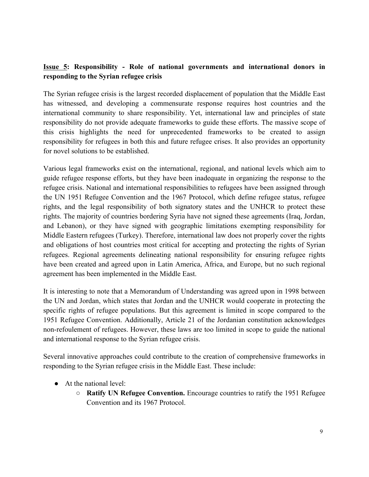## **Issue 5: Responsibility - Role of national governments and international donors in responding to the Syrian refugee crisis**

The Syrian refugee crisis is the largest recorded displacement of population that the Middle East has witnessed, and developing a commensurate response requires host countries and the international community to share responsibility. Yet, international law and principles of state responsibility do not provide adequate frameworks to guide these efforts. The massive scope of this crisis highlights the need for unprecedented frameworks to be created to assign responsibility for refugees in both this and future refugee crises. It also provides an opportunity for novel solutions to be established.

Various legal frameworks exist on the international, regional, and national levels which aim to guide refugee response efforts, but they have been inadequate in organizing the response to the refugee crisis. National and international responsibilities to refugees have been assigned through the UN 1951 Refugee Convention and the 1967 Protocol, which define refugee status, refugee rights, and the legal responsibility of both signatory states and the UNHCR to protect these rights. The majority of countries bordering Syria have not signed these agreements (Iraq, Jordan, and Lebanon), or they have signed with geographic limitations exempting responsibility for Middle Eastern refugees (Turkey). Therefore, international law does not properly cover the rights and obligations of host countries most critical for accepting and protecting the rights of Syrian refugees. Regional agreements delineating national responsibility for ensuring refugee rights have been created and agreed upon in Latin America, Africa, and Europe, but no such regional agreement has been implemented in the Middle East.

It is interesting to note that a Memorandum of Understanding was agreed upon in 1998 between the UN and Jordan, which states that Jordan and the UNHCR would cooperate in protecting the specific rights of refugee populations. But this agreement is limited in scope compared to the 1951 Refugee Convention. Additionally, Article 21 of the Jordanian constitution acknowledges non-refoulement of refugees. However, these laws are too limited in scope to guide the national and international response to the Syrian refugee crisis.

Several innovative approaches could contribute to the creation of comprehensive frameworks in responding to the Syrian refugee crisis in the Middle East. These include:

- At the national level:
	- **Ratify UN Refugee Convention.** Encourage countries to ratify the 1951 Refugee Convention and its 1967 Protocol.